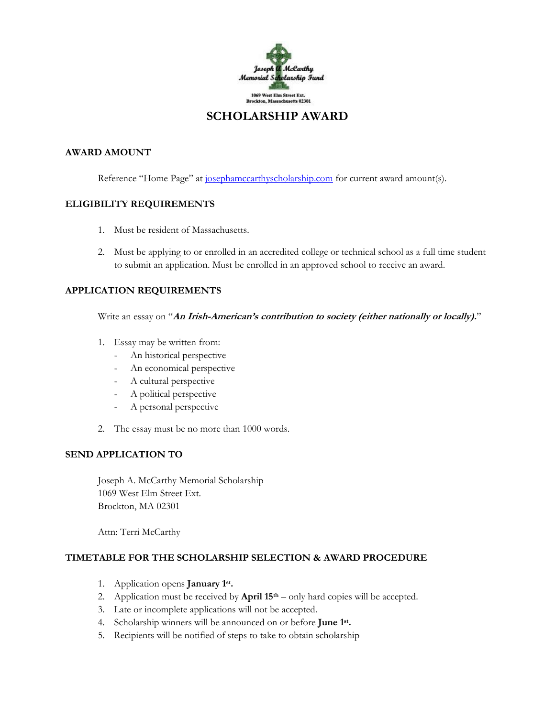

### **SCHOLARSHIP AWARD**

#### **AWARD AMOUNT**

Reference "Home Page" at [josephamccarthyscholarship.com](mailto:josephamccarthy@msn.com) for current award amount(s).

#### **ELIGIBILITY REQUIREMENTS**

- 1. Must be resident of Massachusetts.
- 2. Must be applying to or enrolled in an accredited college or technical school as a full time student to submit an application. Must be enrolled in an approved school to receive an award.

#### **APPLICATION REQUIREMENTS**

Write an essay on "**An Irish-American's contribution to society (either nationally or locally).**"

- 1. Essay may be written from:
	- An historical perspective
	- An economical perspective
	- A cultural perspective
	- A political perspective
	- A personal perspective
- 2. The essay must be no more than 1000 words.

#### **SEND APPLICATION TO**

Joseph A. McCarthy Memorial Scholarship 1069 West Elm Street Ext. Brockton, MA 02301

Attn: Terri McCarthy

#### **TIMETABLE FOR THE SCHOLARSHIP SELECTION & AWARD PROCEDURE**

- 1. Application opens **January 1 st .**
- 2. Application must be received by **April 15th** only hard copies will be accepted.
- 3. Late or incomplete applications will not be accepted.
- 4. Scholarship winners will be announced on or before **June 1 st .**
- 5. Recipients will be notified of steps to take to obtain scholarship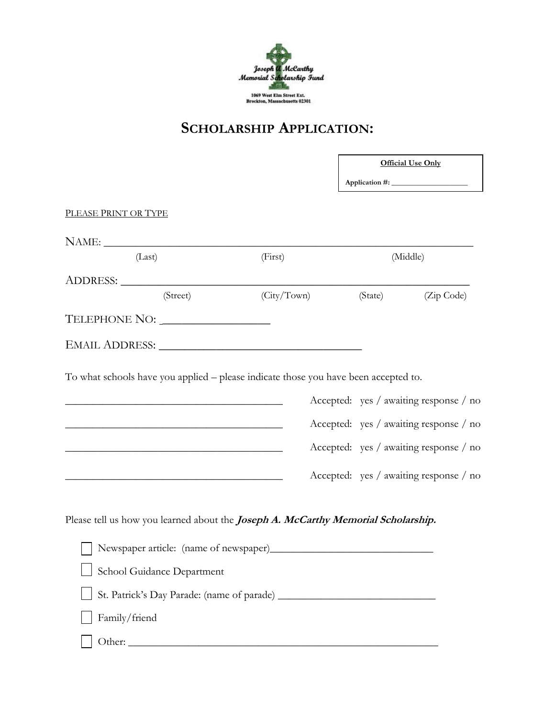

## **SCHOLARSHIP APPLICATION:**

 $\Gamma$ 

T.

|                                                                                                                            |             | <b>Official Use Only</b> |                                                                                                                            |  |
|----------------------------------------------------------------------------------------------------------------------------|-------------|--------------------------|----------------------------------------------------------------------------------------------------------------------------|--|
| PLEASE PRINT OR TYPE                                                                                                       |             |                          |                                                                                                                            |  |
|                                                                                                                            |             |                          |                                                                                                                            |  |
| (Last)                                                                                                                     | (First)     |                          | (Middle)                                                                                                                   |  |
|                                                                                                                            |             |                          |                                                                                                                            |  |
| (Street)                                                                                                                   | (City/Town) | (State)                  | (Zip Code)                                                                                                                 |  |
| TELEPHONE NO: ___________________                                                                                          |             |                          |                                                                                                                            |  |
|                                                                                                                            |             |                          |                                                                                                                            |  |
| <u> 1989 - Johann Stoff, amerikansk politiker (d. 1989)</u><br><u> 1989 - Johann Stoff, Amerikaansk politiker (* 1908)</u> |             |                          | Accepted: yes / awaiting response / no<br>Accepted: yes / awaiting response / no<br>Accepted: yes / awaiting response / no |  |
| Please tell us how you learned about the <i>Joseph A. McCarthy Memorial Scholarship.</i>                                   |             |                          |                                                                                                                            |  |
|                                                                                                                            |             |                          |                                                                                                                            |  |
| School Guidance Department                                                                                                 |             |                          |                                                                                                                            |  |
|                                                                                                                            |             |                          |                                                                                                                            |  |
| Family/friend                                                                                                              |             |                          |                                                                                                                            |  |
|                                                                                                                            |             |                          |                                                                                                                            |  |